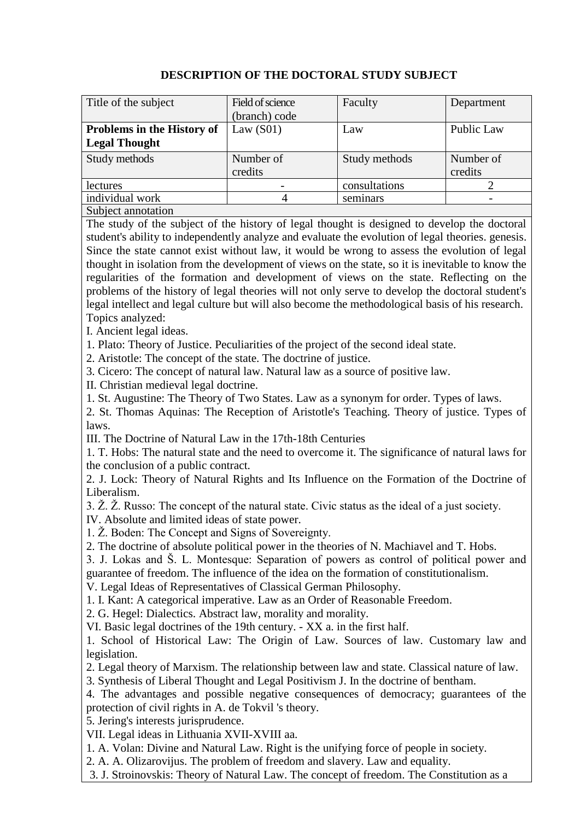| Title of the subject       | Field of science | Faculty       | Department |
|----------------------------|------------------|---------------|------------|
|                            | (branch) code    |               |            |
| Problems in the History of | Law $(S01)$      | Law           | Public Law |
| <b>Legal Thought</b>       |                  |               |            |
| Study methods              | Number of        | Study methods | Number of  |
|                            | credits          |               | credits    |
| lectures                   |                  | consultations |            |
| individual work            |                  | seminars      |            |
| Subject annotation         |                  |               |            |

## **DESCRIPTION OF THE DOCTORAL STUDY SUBJECT**

The study of the subject of the history of legal thought is designed to develop the doctoral student's ability to independently analyze and evaluate the evolution of legal theories. genesis. Since the state cannot exist without law, it would be wrong to assess the evolution of legal thought in isolation from the development of views on the state, so it is inevitable to know the regularities of the formation and development of views on the state. Reflecting on the problems of the history of legal theories will not only serve to develop the doctoral student's legal intellect and legal culture but will also become the methodological basis of his research. Topics analyzed:

I. Ancient legal ideas.

1. Plato: Theory of Justice. Peculiarities of the project of the second ideal state.

2. Aristotle: The concept of the state. The doctrine of justice.

3. Cicero: The concept of natural law. Natural law as a source of positive law.

II. Christian medieval legal doctrine.

1. St. Augustine: The Theory of Two States. Law as a synonym for order. Types of laws.

2. St. Thomas Aquinas: The Reception of Aristotle's Teaching. Theory of justice. Types of laws.

III. The Doctrine of Natural Law in the 17th-18th Centuries

1. T. Hobs: The natural state and the need to overcome it. The significance of natural laws for the conclusion of a public contract.

2. J. Lock: Theory of Natural Rights and Its Influence on the Formation of the Doctrine of Liberalism.

3. Ž. Ž. Russo: The concept of the natural state. Civic status as the ideal of a just society.

IV. Absolute and limited ideas of state power.

1. Ž. Boden: The Concept and Signs of Sovereignty.

2. The doctrine of absolute political power in the theories of N. Machiavel and T. Hobs.

3. J. Lokas and Š. L. Montesque: Separation of powers as control of political power and guarantee of freedom. The influence of the idea on the formation of constitutionalism.

V. Legal Ideas of Representatives of Classical German Philosophy.

1. I. Kant: A categorical imperative. Law as an Order of Reasonable Freedom.

2. G. Hegel: Dialectics. Abstract law, morality and morality.

VI. Basic legal doctrines of the 19th century. - XX a. in the first half.

1. School of Historical Law: The Origin of Law. Sources of law. Customary law and legislation.

2. Legal theory of Marxism. The relationship between law and state. Classical nature of law.

3. Synthesis of Liberal Thought and Legal Positivism J. In the doctrine of bentham.

4. The advantages and possible negative consequences of democracy; guarantees of the protection of civil rights in A. de Tokvil 's theory.

5. Jering's interests jurisprudence.

VII. Legal ideas in Lithuania XVII-XVIII aa.

1. A. Volan: Divine and Natural Law. Right is the unifying force of people in society.

2. A. A. Olizarovijus. The problem of freedom and slavery. Law and equality.

3. J. Stroinovskis: Theory of Natural Law. The concept of freedom. The Constitution as a